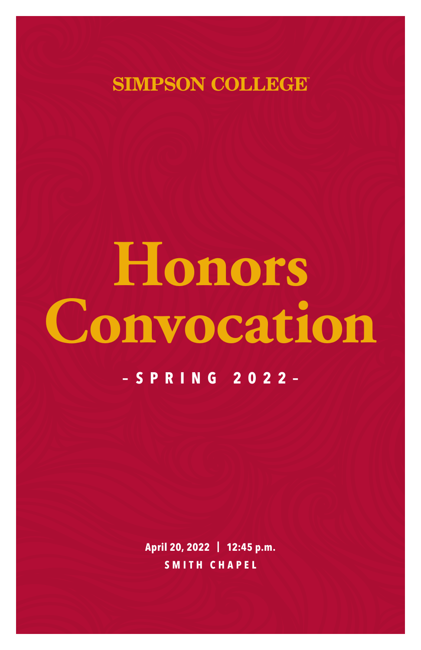**SIMPSON COLLEGE** 

# **Honors –SPRING 2022– Convocation**

**April 20, 2022 | 12:45 p.m. SMITH CHAPEL**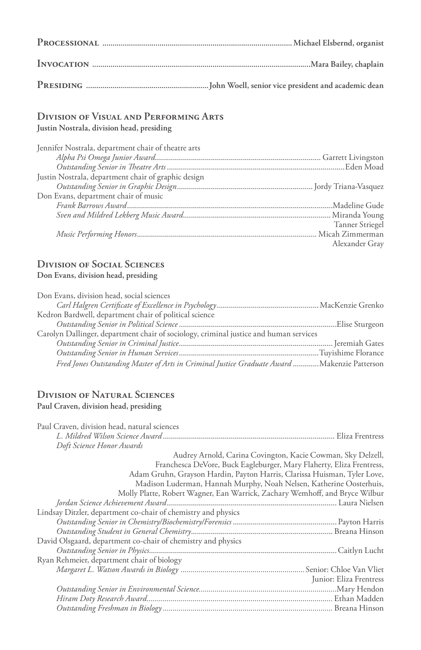# **Division of Visual and Performing Arts**

**Justin Nostrala, division head, presiding**

| Jennifer Nostrala, department chair of theatre arts |                 |
|-----------------------------------------------------|-----------------|
|                                                     |                 |
|                                                     |                 |
| Justin Nostrala, department chair of graphic design |                 |
|                                                     |                 |
| Don Evans, department chair of music                |                 |
|                                                     |                 |
|                                                     |                 |
|                                                     | Tanner Striegel |
|                                                     |                 |
|                                                     | Alexander Gray  |

# **Division of Social Sciences**

# **Don Evans, division head, presiding**

| Don Evans, division head, social sciences                                                    |  |
|----------------------------------------------------------------------------------------------|--|
|                                                                                              |  |
| Kedron Bardwell, department chair of political science                                       |  |
|                                                                                              |  |
| Carolyn Dallinger, department chair of sociology, criminal justice and human services        |  |
|                                                                                              |  |
|                                                                                              |  |
| Fred Jones Outstanding Master of Arts in Criminal Justice Graduate Award  Makenzie Patterson |  |

#### **Division of Natural Sciences Paul Craven, division head, presiding**

| Paul Craven, division head, natural sciences                                |
|-----------------------------------------------------------------------------|
|                                                                             |
| Doft Science Honor Awards                                                   |
| Audrey Arnold, Carina Covington, Kacie Cowman, Sky Delzell,                 |
| Franchesca DeVore, Buck Eagleburger, Mary Flaherty, Eliza Frentress,        |
| Adam Gruhn, Grayson Hardin, Payton Harris, Clarissa Huisman, Tyler Love,    |
| Madison Luderman, Hannah Murphy, Noah Nelsen, Katherine Oosterhuis,         |
| Molly Platte, Robert Wagner, Ean Warrick, Zachary Wemhoff, and Bryce Wilbur |
|                                                                             |
| Lindsay Ditzler, department co-chair of chemistry and physics               |
|                                                                             |
|                                                                             |
| David Olsgaard, department co-chair of chemistry and physics                |
|                                                                             |
| Ryan Rehmeier, department chair of biology                                  |
|                                                                             |
| Junior: Eliza Frentress                                                     |
|                                                                             |
|                                                                             |
|                                                                             |
|                                                                             |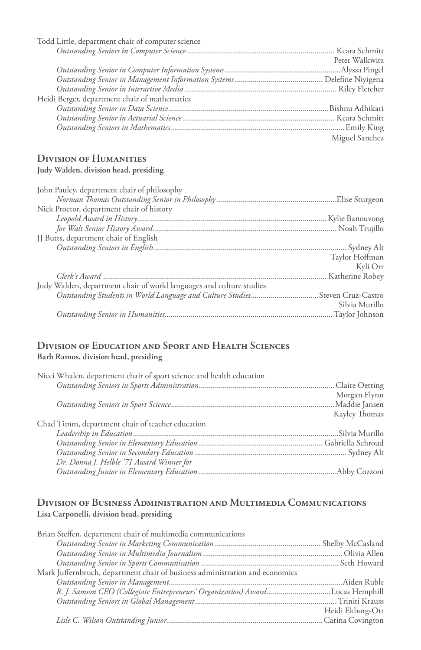| Todd Little, department chair of computer science |                |
|---------------------------------------------------|----------------|
|                                                   |                |
|                                                   | Peter Walkwitz |
|                                                   |                |
|                                                   |                |
|                                                   |                |
| Heidi Berger, department chair of mathematics     |                |
|                                                   |                |
|                                                   |                |
|                                                   |                |
|                                                   | Miguel Sanchez |

# **Division of Humanities**

## **Judy Walden, division head, presiding**

| John Pauley, department chair of philosophy                                  |                |
|------------------------------------------------------------------------------|----------------|
|                                                                              |                |
| Nick Proctor, department chair of history                                    |                |
|                                                                              |                |
|                                                                              |                |
| JJ Butts, department chair of English                                        |                |
|                                                                              |                |
|                                                                              | Taylor Hoffman |
|                                                                              | Kyli Orr       |
|                                                                              |                |
| Judy Walden, department chair of world languages and culture studies         |                |
| Outstanding Students in World Language and Culture StudiesSteven Cruz-Castro |                |
|                                                                              | Silvia Murillo |
|                                                                              |                |
|                                                                              |                |

### **Division of Education and Sport and Health Sciences Barb Ramos, division head, presiding**

| Nicci Whalen, department chair of sport science and health education |               |
|----------------------------------------------------------------------|---------------|
|                                                                      |               |
|                                                                      | Morgan Flynn  |
|                                                                      |               |
|                                                                      | Kayley Thomas |
| Chad Timm, department chair of teacher education                     |               |
|                                                                      |               |
|                                                                      |               |
|                                                                      |               |
| Dr. Donna J. Helble '71 Award Winner for                             |               |
|                                                                      |               |

## **Division of Business Administration and Multimedia Communications Lisa Carponelli, division head, presiding**

| Brian Steffen, department chair of multimedia communications                  |                  |
|-------------------------------------------------------------------------------|------------------|
|                                                                               |                  |
|                                                                               |                  |
|                                                                               |                  |
| Mark Juffernbruch, department chair of business administration and economics  |                  |
|                                                                               |                  |
| R. J. Samson CEO (Collegiate Entrepreneurs' Organization) AwardLucas Hemphill |                  |
|                                                                               |                  |
|                                                                               | Heidi Ekborg-Ott |
|                                                                               |                  |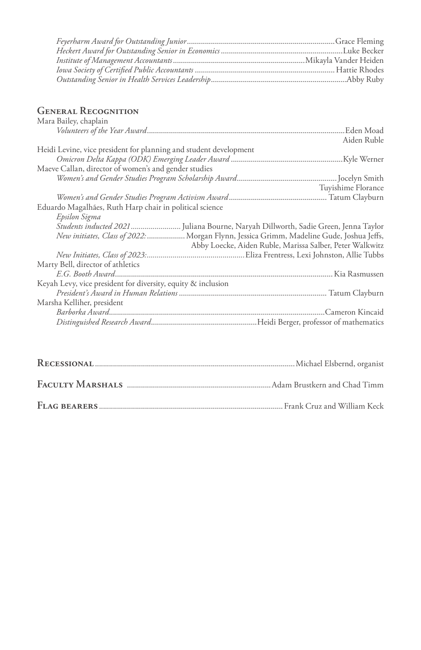# **General Recognition**

| Mara Bailey, chaplain                                                                      |             |
|--------------------------------------------------------------------------------------------|-------------|
|                                                                                            |             |
|                                                                                            | Aiden Ruble |
| Heidi Levine, vice president for planning and student development                          |             |
|                                                                                            |             |
| Maeve Callan, director of women's and gender studies                                       |             |
|                                                                                            |             |
|                                                                                            |             |
| Tuyishime Florance                                                                         |             |
|                                                                                            |             |
| Eduardo Magalhães, Ruth Harp chair in political science                                    |             |
| Epsilon Sigma                                                                              |             |
| <i>Students inducted 2021 </i> Juliana Bourne, Naryah Dillworth, Sadie Green, Jenna Taylor |             |
| New initiates, Class of 2022:  Morgan Flynn, Jessica Grimm, Madeline Gude, Joshua Jeffs,   |             |
| Abby Loecke, Aiden Ruble, Marissa Salber, Peter Walkwitz                                   |             |
|                                                                                            |             |
|                                                                                            |             |
| Marty Bell, director of athletics                                                          |             |
|                                                                                            |             |
| Keyah Levy, vice president for diversity, equity & inclusion                               |             |
|                                                                                            |             |
| Marsha Kelliher, president                                                                 |             |
|                                                                                            |             |
|                                                                                            |             |
|                                                                                            |             |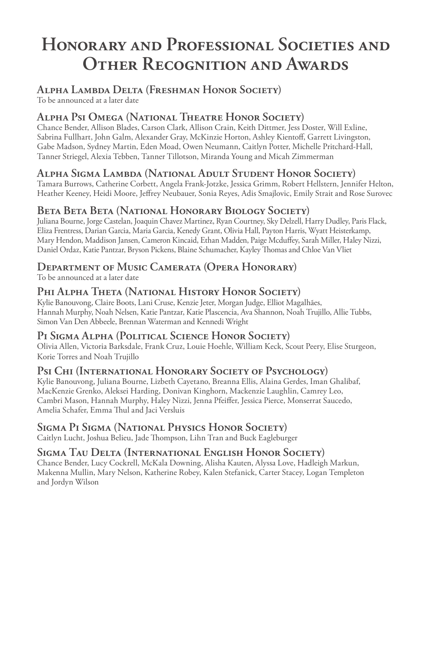# **Honorary and Professional Societies and Other Recognition and Awards**

#### **Alpha Lambda Delta (Freshman Honor Society)**  To be announced at a later date

# **Alpha Psi Omega (National Theatre Honor Society)**

Chance Bender, Allison Blades, Carson Clark, Allison Crain, Keith Dittmer, Jess Doster, Will Exline, Sabrina Fullhart, John Galm, Alexander Gray, McKinzie Horton, Ashley Kientoff, Garrett Livingston, Gabe Madson, Sydney Martin, Eden Moad, Owen Neumann, Caitlyn Potter, Michelle Pritchard-Hall, Tanner Striegel, Alexia Tebben, Tanner Tillotson, Miranda Young and Micah Zimmerman

# **Alpha Sigma Lambda (National Adult Student Honor Society)**

Tamara Burrows, Catherine Corbett, Angela Frank-Jotzke, Jessica Grimm, Robert Hellstern, Jennifer Helton, Heather Keeney, Heidi Moore, Jeffrey Neubauer, Sonia Reyes, Adis Smajlovic, Emily Strait and Rose Surovec

# **Beta Beta Beta (National Honorary Biology Society)**

Juliana Bourne, Jorge Castelan, Joaquin Chavez Martinez, Ryan Courtney, Sky Delzell, Harry Dudley, Paris Flack, Eliza Frentress, Darian Garcia, Maria Garcia, Kenedy Grant, Olivia Hall, Payton Harris, Wyatt Heisterkamp, Mary Hendon, Maddison Jansen, Cameron Kincaid, Ethan Madden, Paige Mcduffey, Sarah Miller, Haley Nizzi, Daniel Ordaz, Katie Pantzar, Bryson Pickens, Blaine Schumacher, Kayley Thomas and Chloe Van Vliet

# **Department of Music Camerata (Opera Honorary)**

To be announced at a later date

# **Phi Alpha Theta (National History Honor Society)**

Kylie Banouvong, Claire Boots, Lani Cruse, Kenzie Jeter, Morgan Judge, Elliot Magalhães, Hannah Murphy, Noah Nelsen, Katie Pantzar, Katie Plascencia, Ava Shannon, Noah Trujillo, Allie Tubbs, Simon Van Den Abbeele, Brennan Waterman and Kennedi Wright

## **Pi Sigma Alpha (Political Science Honor Society)**

Olivia Allen, Victoria Barksdale, Frank Cruz, Louie Hoehle, William Keck, Scout Peery, Elise Sturgeon, Korie Torres and Noah Trujillo

## **Psi Chi (International Honorary Society of Psychology)**

Kylie Banouvong, Juliana Bourne, Lizbeth Cayetano, Breanna Ellis, Alaina Gerdes, Iman Ghalibaf, MacKenzie Grenko, Aleksei Harding, Donivan Kinghorn, Mackenzie Laughlin, Camrey Leo, Cambri Mason, Hannah Murphy, Haley Nizzi, Jenna Pfeiffer, Jessica Pierce, Monserrat Saucedo, Amelia Schafer, Emma Thul and Jaci Versluis

# **Sigma Pi Sigma (National Physics Honor Society)**

Caitlyn Lucht, Joshua Belieu, Jade Thompson, Lihn Tran and Buck Eagleburger

## **Sigma Tau Delta (International English Honor Society)**

Chance Bender, Lucy Cockrell, McKala Downing, Alisha Kauten, Alyssa Love, Hadleigh Markun, Makenna Mullin, Mary Nelson, Katherine Robey, Kalen Stefanick, Carter Stacey, Logan Templeton and Jordyn Wilson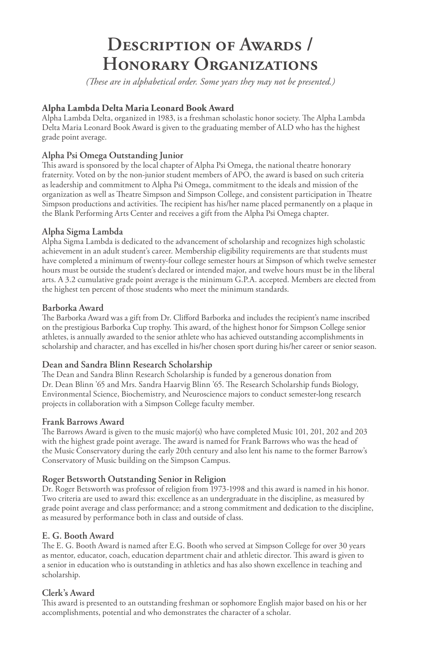# **Description of Awards / Honorary Organizations**

*(These are in alphabetical order. Some years they may not be presented.)*

#### **Alpha Lambda Delta Maria Leonard Book Award**

Alpha Lambda Delta, organized in 1983, is a freshman scholastic honor society. The Alpha Lambda Delta Maria Leonard Book Award is given to the graduating member of ALD who has the highest grade point average.

#### **Alpha Psi Omega Outstanding Junior**

This award is sponsored by the local chapter of Alpha Psi Omega, the national theatre honorary fraternity. Voted on by the non-junior student members of APO, the award is based on such criteria as leadership and commitment to Alpha Psi Omega, commitment to the ideals and mission of the organization as well as Theatre Simpson and Simpson College, and consistent participation in Theatre Simpson productions and activities. The recipient has his/her name placed permanently on a plaque in the Blank Performing Arts Center and receives a gift from the Alpha Psi Omega chapter.

#### **Alpha Sigma Lambda**

Alpha Sigma Lambda is dedicated to the advancement of scholarship and recognizes high scholastic achievement in an adult student's career. Membership eligibility requirements are that students must have completed a minimum of twenty-four college semester hours at Simpson of which twelve semester hours must be outside the student's declared or intended major, and twelve hours must be in the liberal arts. A 3.2 cumulative grade point average is the minimum G.P.A. accepted. Members are elected from the highest ten percent of those students who meet the minimum standards.

#### **Barborka Award**

The Barborka Award was a gift from Dr. Clifford Barborka and includes the recipient's name inscribed on the prestigious Barborka Cup trophy. This award, of the highest honor for Simpson College senior athletes, is annually awarded to the senior athlete who has achieved outstanding accomplishments in scholarship and character, and has excelled in his/her chosen sport during his/her career or senior season.

#### **Dean and Sandra Blinn Research Scholarship**

The Dean and Sandra Blinn Research Scholarship is funded by a generous donation from Dr. Dean Blinn '65 and Mrs. Sandra Haarvig Blinn '65. The Research Scholarship funds Biology, Environmental Science, Biochemistry, and Neuroscience majors to conduct semester-long research projects in collaboration with a Simpson College faculty member.

#### **Frank Barrows Award**

The Barrows Award is given to the music major(s) who have completed Music 101, 201, 202 and 203 with the highest grade point average. The award is named for Frank Barrows who was the head of the Music Conservatory during the early 20th century and also lent his name to the former Barrow's Conservatory of Music building on the Simpson Campus.

#### **Roger Betsworth Outstanding Senior in Religion**

Dr. Roger Betsworth was professor of religion from 1973-1998 and this award is named in his honor. Two criteria are used to award this: excellence as an undergraduate in the discipline, as measured by grade point average and class performance; and a strong commitment and dedication to the discipline, as measured by performance both in class and outside of class.

#### **E. G. Booth Award**

The E. G. Booth Award is named after E.G. Booth who served at Simpson College for over 30 years as mentor, educator, coach, education department chair and athletic director. This award is given to a senior in education who is outstanding in athletics and has also shown excellence in teaching and scholarship.

#### **Clerk's Award**

This award is presented to an outstanding freshman or sophomore English major based on his or her accomplishments, potential and who demonstrates the character of a scholar.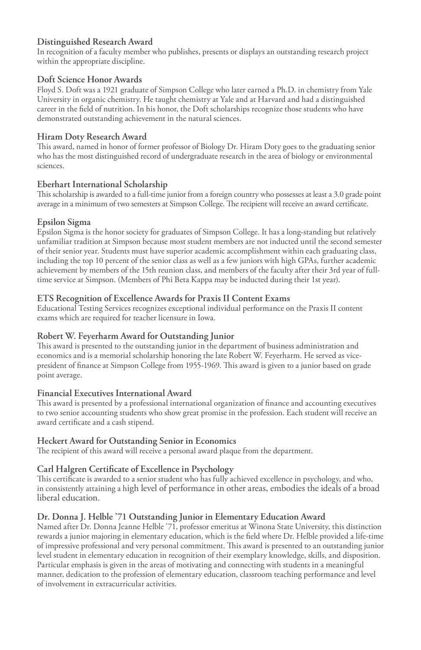#### **Distinguished Research Award**

In recognition of a faculty member who publishes, presents or displays an outstanding research project within the appropriate discipline.

#### **Doft Science Honor Awards**

Floyd S. Doft was a 1921 graduate of Simpson College who later earned a Ph.D. in chemistry from Yale University in organic chemistry. He taught chemistry at Yale and at Harvard and had a distinguished career in the field of nutrition. In his honor, the Doft scholarships recognize those students who have demonstrated outstanding achievement in the natural sciences.

#### **Hiram Doty Research Award**

This award, named in honor of former professor of Biology Dr. Hiram Doty goes to the graduating senior who has the most distinguished record of undergraduate research in the area of biology or environmental sciences.

#### **Eberhart International Scholarship**

This scholarship is awarded to a full-time junior from a foreign country who possesses at least a 3.0 grade point average in a minimum of two semesters at Simpson College. The recipient will receive an award certificate.

#### **Epsilon Sigma**

Epsilon Sigma is the honor society for graduates of Simpson College. It has a long-standing but relatively unfamiliar tradition at Simpson because most student members are not inducted until the second semester of their senior year. Students must have superior academic accomplishment within each graduating class, including the top 10 percent of the senior class as well as a few juniors with high GPAs, further academic achievement by members of the 15th reunion class, and members of the faculty after their 3rd year of fulltime service at Simpson. (Members of Phi Beta Kappa may be inducted during their 1st year).

#### **ETS Recognition of Excellence Awards for Praxis II Content Exams**

Educational Testing Services recognizes exceptional individual performance on the Praxis II content exams which are required for teacher licensure in Iowa.

#### **Robert W. Feyerharm Award for Outstanding Junior**

This award is presented to the outstanding junior in the department of business administration and economics and is a memorial scholarship honoring the late Robert W. Feyerharm. He served as vicepresident of finance at Simpson College from 1955-1969. This award is given to a junior based on grade point average.

#### **Financial Executives International Award**

This award is presented by a professional international organization of finance and accounting executives to two senior accounting students who show great promise in the profession. Each student will receive an award certificate and a cash stipend.

#### **Heckert Award for Outstanding Senior in Economics**

The recipient of this award will receive a personal award plaque from the department.

#### **Carl Halgren Certificate of Excellence in Psychology**

This certificate is awarded to a senior student who has fully achieved excellence in psychology, and who, in consistently attaining a high level of performance in other areas, embodies the ideals of a broad liberal education.

#### **Dr. Donna J. Helble '71 Outstanding Junior in Elementary Education Award**

Named after Dr. Donna Jeanne Helble '71, professor emeritus at Winona State University, this distinction rewards a junior majoring in elementary education, which is the field where Dr. Helble provided a life-time of impressive professional and very personal commitment. This award is presented to an outstanding junior level student in elementary education in recognition of their exemplary knowledge, skills, and disposition. Particular emphasis is given in the areas of motivating and connecting with students in a meaningful manner, dedication to the profession of elementary education, classroom teaching performance and level of involvement in extracurricular activities.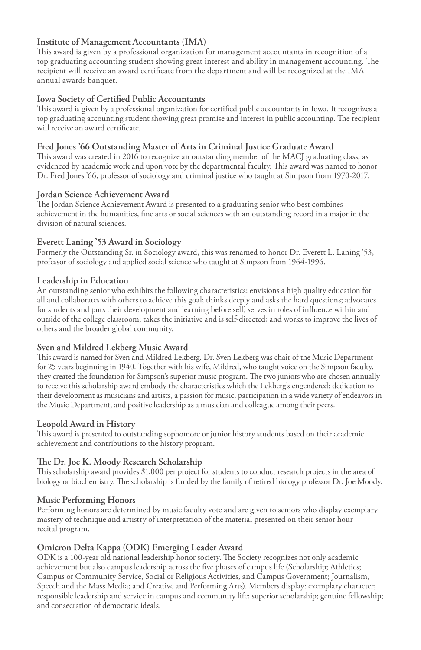#### **Institute of Management Accountants (IMA)**

This award is given by a professional organization for management accountants in recognition of a top graduating accounting student showing great interest and ability in management accounting. The recipient will receive an award certificate from the department and will be recognized at the IMA annual awards banquet.

#### **Iowa Society of Certified Public Accountants**

This award is given by a professional organization for certified public accountants in Iowa. It recognizes a top graduating accounting student showing great promise and interest in public accounting. The recipient will receive an award certificate.

#### **Fred Jones '66 Outstanding Master of Arts in Criminal Justice Graduate Award**

This award was created in 2016 to recognize an outstanding member of the MACJ graduating class, as evidenced by academic work and upon vote by the departmental faculty. This award was named to honor Dr. Fred Jones '66, professor of sociology and criminal justice who taught at Simpson from 1970-2017.

#### **Jordan Science Achievement Award**

The Jordan Science Achievement Award is presented to a graduating senior who best combines achievement in the humanities, fine arts or social sciences with an outstanding record in a major in the division of natural sciences.

#### **Everett Laning '53 Award in Sociology**

Formerly the Outstanding Sr. in Sociology award, this was renamed to honor Dr. Everett L. Laning '53, professor of sociology and applied social science who taught at Simpson from 1964-1996.

#### **Leadership in Education**

An outstanding senior who exhibits the following characteristics: envisions a high quality education for all and collaborates with others to achieve this goal; thinks deeply and asks the hard questions; advocates for students and puts their development and learning before self; serves in roles of influence within and outside of the college classroom; takes the initiative and is self-directed; and works to improve the lives of others and the broader global community.

#### **Sven and Mildred Lekberg Music Award**

This award is named for Sven and Mildred Lekberg. Dr. Sven Lekberg was chair of the Music Department for 25 years beginning in 1940. Together with his wife, Mildred, who taught voice on the Simpson faculty, they created the foundation for Simpson's superior music program. The two juniors who are chosen annually to receive this scholarship award embody the characteristics which the Lekberg's engendered: dedication to their development as musicians and artists, a passion for music, participation in a wide variety of endeavors in the Music Department, and positive leadership as a musician and colleague among their peers.

#### **Leopold Award in History**

This award is presented to outstanding sophomore or junior history students based on their academic achievement and contributions to the history program.

#### **The Dr. Joe K. Moody Research Scholarship**

This scholarship award provides \$1,000 per project for students to conduct research projects in the area of biology or biochemistry. The scholarship is funded by the family of retired biology professor Dr. Joe Moody.

#### **Music Performing Honors**

Performing honors are determined by music faculty vote and are given to seniors who display exemplary mastery of technique and artistry of interpretation of the material presented on their senior hour recital program.

#### **Omicron Delta Kappa (ODK) Emerging Leader Award**

ODK is a 100-year old national leadership honor society. The Society recognizes not only academic achievement but also campus leadership across the five phases of campus life (Scholarship; Athletics; Campus or Community Service, Social or Religious Activities, and Campus Government; Journalism, Speech and the Mass Media; and Creative and Performing Arts). Members display: exemplary character; responsible leadership and service in campus and community life; superior scholarship; genuine fellowship; and consecration of democratic ideals.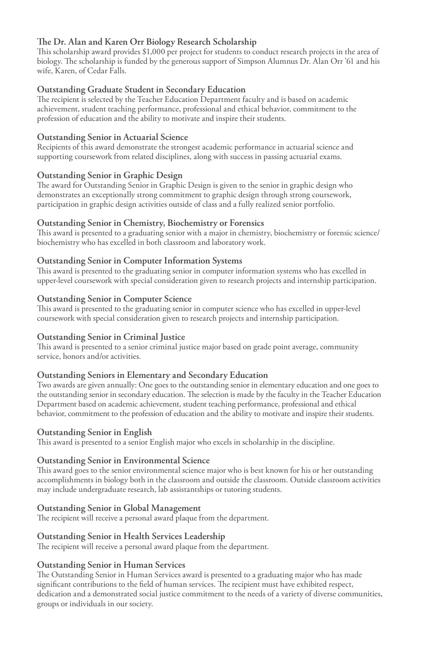#### **The Dr. Alan and Karen Orr Biology Research Scholarship**

This scholarship award provides \$1,000 per project for students to conduct research projects in the area of biology. The scholarship is funded by the generous support of Simpson Alumnus Dr. Alan Orr '61 and his wife, Karen, of Cedar Falls.

#### **Outstanding Graduate Student in Secondary Education**

The recipient is selected by the Teacher Education Department faculty and is based on academic achievement, student teaching performance, professional and ethical behavior, commitment to the profession of education and the ability to motivate and inspire their students.

#### **Outstanding Senior in Actuarial Science**

Recipients of this award demonstrate the strongest academic performance in actuarial science and supporting coursework from related disciplines, along with success in passing actuarial exams.

#### **Outstanding Senior in Graphic Design**

The award for Outstanding Senior in Graphic Design is given to the senior in graphic design who demonstrates an exceptionally strong commitment to graphic design through strong coursework, participation in graphic design activities outside of class and a fully realized senior portfolio.

#### **Outstanding Senior in Chemistry, Biochemistry or Forensics**

This award is presented to a graduating senior with a major in chemistry, biochemistry or forensic science/ biochemistry who has excelled in both classroom and laboratory work.

#### **Outstanding Senior in Computer Information Systems**

This award is presented to the graduating senior in computer information systems who has excelled in upper-level coursework with special consideration given to research projects and internship participation.

#### **Outstanding Senior in Computer Science**

This award is presented to the graduating senior in computer science who has excelled in upper-level coursework with special consideration given to research projects and internship participation.

#### **Outstanding Senior in Criminal Justice**

This award is presented to a senior criminal justice major based on grade point average, community service, honors and/or activities.

#### **Outstanding Seniors in Elementary and Secondary Education**

Two awards are given annually: One goes to the outstanding senior in elementary education and one goes to the outstanding senior in secondary education. The selection is made by the faculty in the Teacher Education Department based on academic achievement, student teaching performance, professional and ethical behavior, commitment to the profession of education and the ability to motivate and inspire their students.

#### **Outstanding Senior in English**

This award is presented to a senior English major who excels in scholarship in the discipline.

#### **Outstanding Senior in Environmental Science**

This award goes to the senior environmental science major who is best known for his or her outstanding accomplishments in biology both in the classroom and outside the classroom. Outside classroom activities may include undergraduate research, lab assistantships or tutoring students.

#### **Outstanding Senior in Global Management**

The recipient will receive a personal award plaque from the department.

#### **Outstanding Senior in Health Services Leadership**

The recipient will receive a personal award plaque from the department.

#### **Outstanding Senior in Human Services**

The Outstanding Senior in Human Services award is presented to a graduating major who has made significant contributions to the field of human services. The recipient must have exhibited respect, dedication and a demonstrated social justice commitment to the needs of a variety of diverse communities, groups or individuals in our society.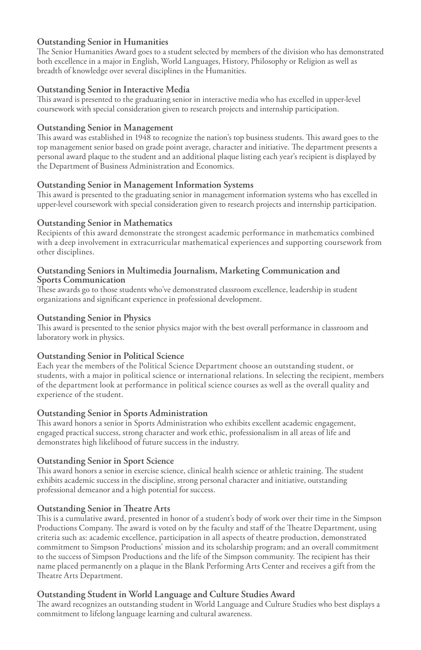#### **Outstanding Senior in Humanities**

The Senior Humanities Award goes to a student selected by members of the division who has demonstrated both excellence in a major in English, World Languages, History, Philosophy or Religion as well as breadth of knowledge over several disciplines in the Humanities.

#### **Outstanding Senior in Interactive Media**

This award is presented to the graduating senior in interactive media who has excelled in upper-level coursework with special consideration given to research projects and internship participation.

#### **Outstanding Senior in Management**

This award was established in 1948 to recognize the nation's top business students. This award goes to the top management senior based on grade point average, character and initiative. The department presents a personal award plaque to the student and an additional plaque listing each year's recipient is displayed by the Department of Business Administration and Economics.

#### **Outstanding Senior in Management Information Systems**

This award is presented to the graduating senior in management information systems who has excelled in upper-level coursework with special consideration given to research projects and internship participation.

#### **Outstanding Senior in Mathematics**

Recipients of this award demonstrate the strongest academic performance in mathematics combined with a deep involvement in extracurricular mathematical experiences and supporting coursework from other disciplines.

#### **Outstanding Seniors in Multimedia Journalism, Marketing Communication and Sports Communication**

These awards go to those students who've demonstrated classroom excellence, leadership in student organizations and significant experience in professional development.

#### **Outstanding Senior in Physics**

This award is presented to the senior physics major with the best overall performance in classroom and laboratory work in physics.

#### **Outstanding Senior in Political Science**

Each year the members of the Political Science Department choose an outstanding student, or students, with a major in political science or international relations. In selecting the recipient, members of the department look at performance in political science courses as well as the overall quality and experience of the student.

#### **Outstanding Senior in Sports Administration**

This award honors a senior in Sports Administration who exhibits excellent academic engagement, engaged practical success, strong character and work ethic, professionalism in all areas of life and demonstrates high likelihood of future success in the industry.

#### **Outstanding Senior in Sport Science**

This award honors a senior in exercise science, clinical health science or athletic training. The student exhibits academic success in the discipline, strong personal character and initiative, outstanding professional demeanor and a high potential for success.

#### **Outstanding Senior in Theatre Arts**

This is a cumulative award, presented in honor of a student's body of work over their time in the Simpson Productions Company. The award is voted on by the faculty and staff of the Theatre Department, using criteria such as: academic excellence, participation in all aspects of theatre production, demonstrated commitment to Simpson Productions' mission and its scholarship program; and an overall commitment to the success of Simpson Productions and the life of the Simpson community. The recipient has their name placed permanently on a plaque in the Blank Performing Arts Center and receives a gift from the Theatre Arts Department.

#### **Outstanding Student in World Language and Culture Studies Award**

The award recognizes an outstanding student in World Language and Culture Studies who best displays a commitment to lifelong language learning and cultural awareness.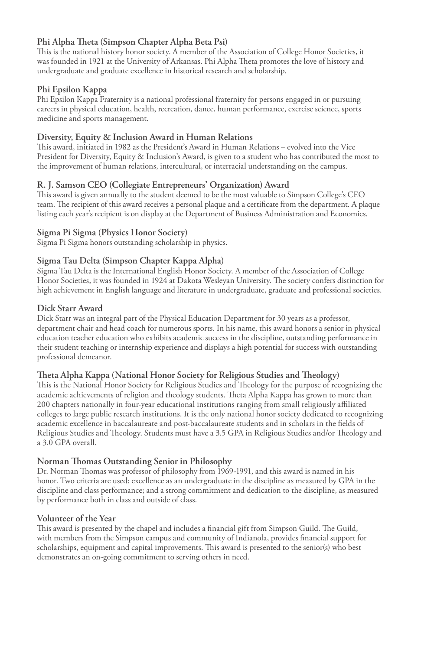#### **Phi Alpha Theta (Simpson Chapter Alpha Beta Psi)**

This is the national history honor society. A member of the Association of College Honor Societies, it was founded in 1921 at the University of Arkansas. Phi Alpha Theta promotes the love of history and undergraduate and graduate excellence in historical research and scholarship.

#### **Phi Epsilon Kappa**

Phi Epsilon Kappa Fraternity is a national professional fraternity for persons engaged in or pursuing careers in physical education, health, recreation, dance, human performance, exercise science, sports medicine and sports management.

#### **Diversity, Equity & Inclusion Award in Human Relations**

This award, initiated in 1982 as the President's Award in Human Relations – evolved into the Vice President for Diversity, Equity & Inclusion's Award, is given to a student who has contributed the most to the improvement of human relations, intercultural, or interracial understanding on the campus.

#### **R. J. Samson CEO (Collegiate Entrepreneurs' Organization) Award**

This award is given annually to the student deemed to be the most valuable to Simpson College's CEO team. The recipient of this award receives a personal plaque and a certificate from the department. A plaque listing each year's recipient is on display at the Department of Business Administration and Economics.

#### **Sigma Pi Sigma (Physics Honor Society)**

Sigma Pi Sigma honors outstanding scholarship in physics.

#### **Sigma Tau Delta (Simpson Chapter Kappa Alpha)**

Sigma Tau Delta is the International English Honor Society. A member of the Association of College Honor Societies, it was founded in 1924 at Dakota Wesleyan University. The society confers distinction for high achievement in English language and literature in undergraduate, graduate and professional societies.

#### **Dick Starr Award**

Dick Starr was an integral part of the Physical Education Department for 30 years as a professor, department chair and head coach for numerous sports. In his name, this award honors a senior in physical education teacher education who exhibits academic success in the discipline, outstanding performance in their student teaching or internship experience and displays a high potential for success with outstanding professional demeanor.

#### **Theta Alpha Kappa (National Honor Society for Religious Studies and Theology)**

This is the National Honor Society for Religious Studies and Theology for the purpose of recognizing the academic achievements of religion and theology students. Theta Alpha Kappa has grown to more than 200 chapters nationally in four-year educational institutions ranging from small religiously affiliated colleges to large public research institutions. It is the only national honor society dedicated to recognizing academic excellence in baccalaureate and post-baccalaureate students and in scholars in the fields of Religious Studies and Theology. Students must have a 3.5 GPA in Religious Studies and/or Theology and a 3.0 GPA overall.

#### **Norman Thomas Outstanding Senior in Philosophy**

Dr. Norman Thomas was professor of philosophy from 1969-1991, and this award is named in his honor. Two criteria are used: excellence as an undergraduate in the discipline as measured by GPA in the discipline and class performance; and a strong commitment and dedication to the discipline, as measured by performance both in class and outside of class.

#### **Volunteer of the Year**

This award is presented by the chapel and includes a financial gift from Simpson Guild. The Guild, with members from the Simpson campus and community of Indianola, provides financial support for scholarships, equipment and capital improvements. This award is presented to the senior(s) who best demonstrates an on-going commitment to serving others in need.